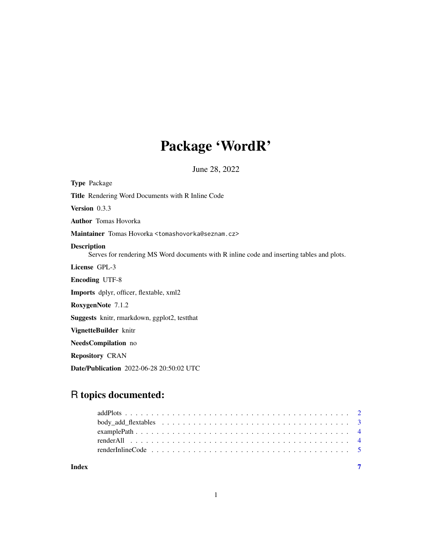# Package 'WordR'

June 28, 2022

<span id="page-0-0"></span>

| <b>Type Package</b>                                                                                             |
|-----------------------------------------------------------------------------------------------------------------|
| <b>Title</b> Rendering Word Documents with R Inline Code                                                        |
| <b>Version</b> $0.3.3$                                                                                          |
| <b>Author</b> Tomas Hovorka                                                                                     |
| Maintainer Tomas Hovorka <tomashovorka@seznam.cz></tomashovorka@seznam.cz>                                      |
| <b>Description</b><br>Serves for rendering MS Word documents with R inline code and inserting tables and plots. |
| License GPL-3                                                                                                   |
| <b>Encoding UTF-8</b>                                                                                           |
| <b>Imports</b> dplyr, officer, flextable, xml2                                                                  |
| RoxygenNote 7.1.2                                                                                               |
| <b>Suggests</b> knitr, rmarkdown, ggplot2, test that                                                            |
| VignetteBuilder knitr                                                                                           |
| <b>NeedsCompilation</b> no                                                                                      |
| <b>Repository CRAN</b>                                                                                          |
|                                                                                                                 |

Date/Publication 2022-06-28 20:50:02 UTC

# R topics documented: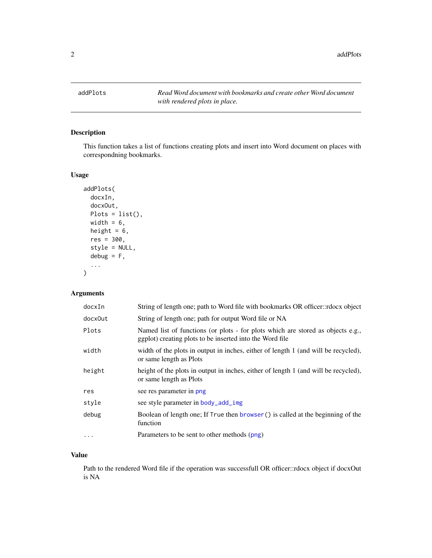<span id="page-1-1"></span><span id="page-1-0"></span>addPlots *Read Word document with bookmarks and create other Word document with rendered plots in place.*

#### Description

This function takes a list of functions creating plots and insert into Word document on places with correspondning bookmarks.

#### Usage

```
addPlots(
 docxIn,
 docxOut,
 Plots = list(),width = 6,
 height = 6,
  res = 300,
 style = NULL,
 debug = F,
  ...
)
```
### Arguments

| docxIn   | String of length one; path to Word file with bookmarks OR officer::rdocx object                                                             |
|----------|---------------------------------------------------------------------------------------------------------------------------------------------|
| docx0ut  | String of length one; path for output Word file or NA                                                                                       |
| Plots    | Named list of functions (or plots - for plots which are stored as objects e.g.,<br>ggplot) creating plots to be inserted into the Word file |
| width    | width of the plots in output in inches, either of length 1 (and will be recycled),<br>or same length as Plots                               |
| height   | height of the plots in output in inches, either of length 1 (and will be recycled),<br>or same length as Plots                              |
| res      | see res parameter in png                                                                                                                    |
| style    | see style parameter in body_add_img                                                                                                         |
| debug    | Boolean of length one; If True then browser () is called at the beginning of the<br>function                                                |
| $\cdots$ | Parameters to be sent to other methods (png)                                                                                                |

# Value

Path to the rendered Word file if the operation was successfull OR officer::rdocx object if docxOut is NA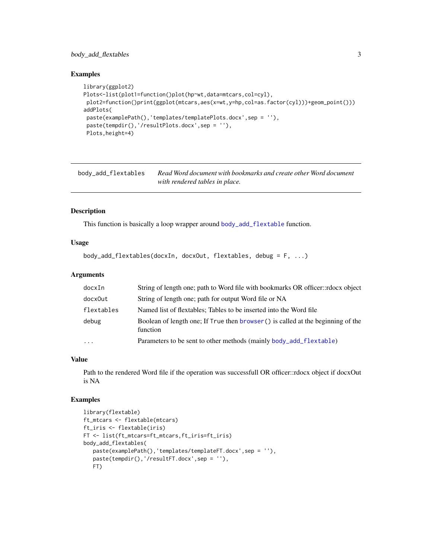#### <span id="page-2-0"></span>body\_add\_flextables 3

#### Examples

```
library(ggplot2)
Plots<-list(plot1=function()plot(hp~wt,data=mtcars,col=cyl),
plot2=function()print(ggplot(mtcars,aes(x=wt,y=hp,col=as.factor(cyl)))+geom_point()))
addPlots(
 paste(examplePath(),'templates/templatePlots.docx',sep = ''),
 paste(tempdir(),'/resultPlots.docx',sep = ''),
 Plots,height=4)
```
<span id="page-2-1"></span>body\_add\_flextables *Read Word document with bookmarks and create other Word document with rendered tables in place.*

#### Description

This function is basically a loop wrapper around [body\\_add\\_flextable](#page-0-0) function.

#### Usage

```
body_add_flextables(docxIn, docxOut, flextables, debug = F, ...)
```
#### Arguments

| docxIn     | String of length one; path to Word file with bookmarks OR officer::rdocx object              |
|------------|----------------------------------------------------------------------------------------------|
| docx0ut    | String of length one; path for output Word file or NA                                        |
| flextables | Named list of flextables; Tables to be inserted into the Word file                           |
| debug      | Boolean of length one; If True then browser () is called at the beginning of the<br>function |
| $\ddotsc$  | Parameters to be sent to other methods (mainly body_add_flextable)                           |

#### Value

Path to the rendered Word file if the operation was successfull OR officer::rdocx object if docxOut is NA

#### Examples

```
library(flextable)
ft_mtcars <- flextable(mtcars)
ft_iris <- flextable(iris)
FT <- list(ft_mtcars=ft_mtcars,ft_iris=ft_iris)
body_add_flextables(
   paste(examplePath(),'templates/templateFT.docx',sep = ''),
   paste(tempdir(),'/resultFT.docx',sep = ''),
   FT)
```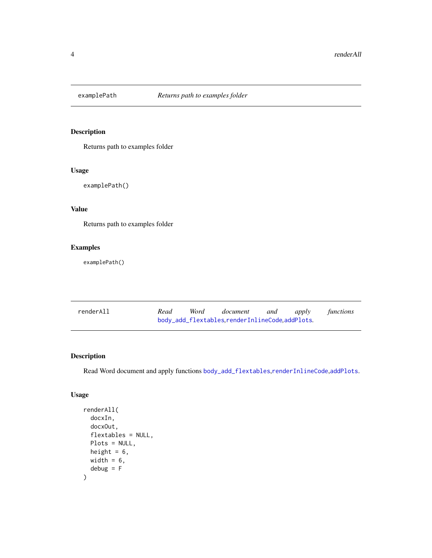<span id="page-3-0"></span>

# Description

Returns path to examples folder

# Usage

examplePath()

### Value

Returns path to examples folder

#### Examples

examplePath()

| renderAll | Read | Word | document                                       | and | apply | functions |
|-----------|------|------|------------------------------------------------|-----|-------|-----------|
|           |      |      | body_add_flextables.renderInlineCode.addPlots. |     |       |           |

#### Description

Read Word document and apply functions [body\\_add\\_flextables](#page-2-1),[renderInlineCode](#page-4-1),[addPlots](#page-1-1).

#### Usage

```
renderAll(
  docxIn,
  docxOut,
  flextables = NULL,
 Plots = NULL,
 height = 6,
 width = 6,
  debug = F\mathcal{E}
```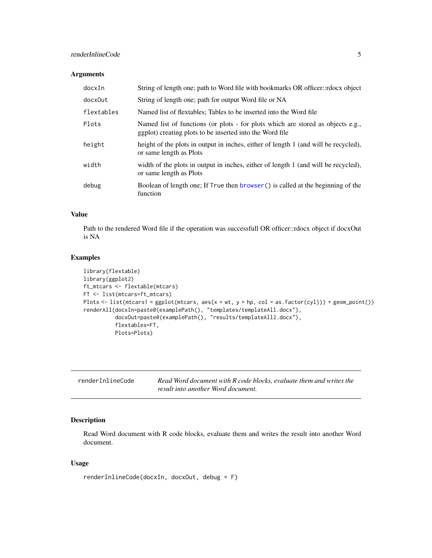# <span id="page-4-0"></span>renderInlineCode 5

#### Arguments

| docxIn     | String of length one; path to Word file with bookmarks OR officer::rdocx object                                                             |
|------------|---------------------------------------------------------------------------------------------------------------------------------------------|
| docx0ut    | String of length one; path for output Word file or NA                                                                                       |
| flextables | Named list of flextables; Tables to be inserted into the Word file                                                                          |
| Plots      | Named list of functions (or plots - for plots which are stored as objects e.g.,<br>ggplot) creating plots to be inserted into the Word file |
| height     | height of the plots in output in inches, either of length 1 (and will be recycled),<br>or same length as Plots                              |
| width      | width of the plots in output in inches, either of length 1 (and will be recycled),<br>or same length as Plots                               |
| debug      | Boolean of length one; If True then browser () is called at the beginning of the<br>function                                                |

#### Value

Path to the rendered Word file if the operation was successfull OR officer::rdocx object if docxOut is NA

#### Examples

```
library(flextable)
library(ggplot2)
ft_mtcars <- flextable(mtcars)
FT <- list(mtcars=ft_mtcars)
Plots <- list(mtcars1 = ggplot(mtcars, aes(x = wt, y = hp, col = as.factor(cyl))) + geom_point())
renderAll(docxIn=paste0(examplePath(), "templates/templateAll.docx"),
          docxOut=paste0(examplePath(), "results/templateAll2.docx"),
          flextables=FT,
          Plots=Plots)
```
<span id="page-4-1"></span>

| renderInlineCode | Read Word document with R code blocks, evaluate them and writes the |
|------------------|---------------------------------------------------------------------|
|                  | result into another Word document.                                  |

### Description

Read Word document with R code blocks, evaluate them and writes the result into another Word document.

#### Usage

```
renderInlineCode(docxIn, docxOut, debug = F)
```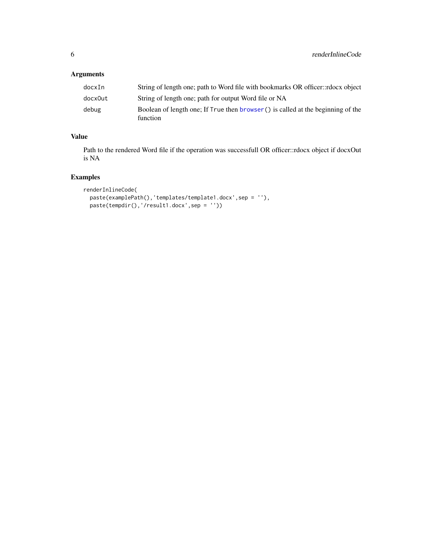# <span id="page-5-0"></span>Arguments

| docxIn  | String of length one; path to Word file with bookmarks OR officer::rdocx object             |
|---------|---------------------------------------------------------------------------------------------|
| docxOut | String of length one; path for output Word file or NA                                       |
| debug   | Boolean of length one: If True then browser() is called at the beginning of the<br>function |

# Value

Path to the rendered Word file if the operation was successfull OR officer::rdocx object if docxOut is NA

#### Examples

```
renderInlineCode(
  paste(examplePath(),'templates/template1.docx',sep = ''),
  paste(tempdir(),'/result1.docx',sep = ''))
```